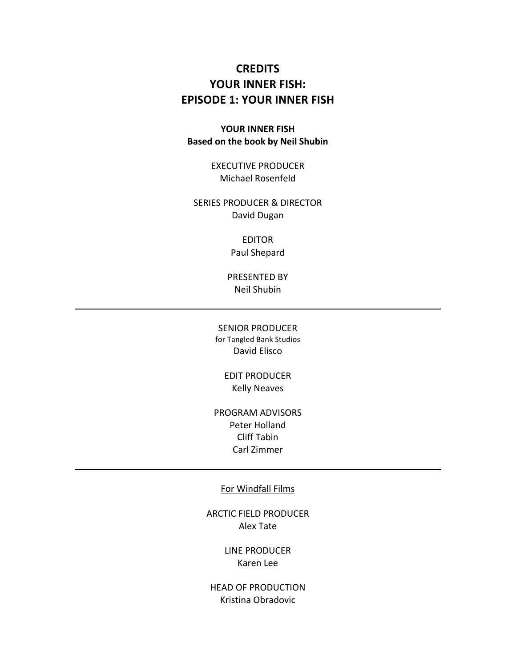# **CREDITS** YOUR INNER FISH: **EPISODE 1: YOUR INNER FISH**

## YOUR INNER FISH **Based on the book by Neil Shubin**

EXECUTIVE PRODUCER Michael Rosenfeld

SERIES PRODUCER & DIRECTOR David Dugan

> EDITOR Paul Shepard

PRESENTED BY Neil Shubin

SENIOR PRODUCER for Tangled Bank Studios David!Elisco

> **EDIT PRODUCER** Kelly Neaves

PROGRAM ADVISORS Peter Holland Cliff Tabin Carl Zimmer

#### For Windfall Films

ARCTIC FIELD PRODUCER Alex!Tate

> LINE PRODUCER Karen Lee

HEAD OF PRODUCTION Kristina!Obradovic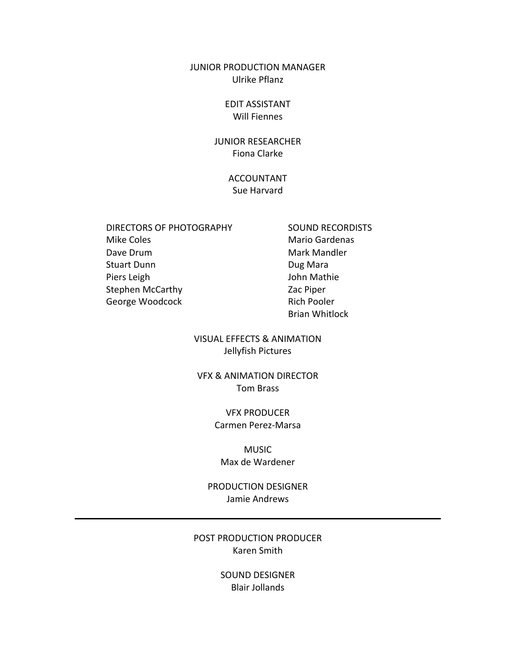### JUNIOR PRODUCTION MANAGER Ulrike Pflanz

### EDIT!ASSISTANT Will Fiennes

## **JUNIOR RESEARCHER** Fiona Clarke

## ACCOUNTANT Sue Harvard

- DIRECTORS OF PHOTOGRAPHY SOUND RECORDISTS Mike Coles **Mario** Gardenas Dave Drum **Mark Mandler** Mark Mandler Stuart Dunn Dug Mara Piers Leigh **John Mathie** Stephen McCarthy Zac Piper George Woodcock **Rich Pooler** Rich Pooler
	- Brian!Whitlock

VISUAL EFFECTS & ANIMATION Jellyfish Pictures

**VFX & ANIMATION DIRECTOR** Tom!Brass

### VFX!PRODUCER Carmen Perez-Marsa

## MUSIC Max de Wardener

PRODUCTION DESIGNER Jamie Andrews

## POST PRODUCTION PRODUCER Karen Smith

SOUND DESIGNER Blair Jollands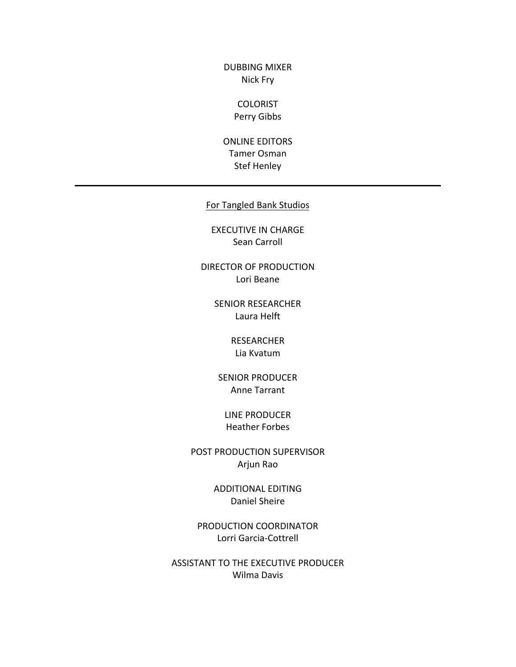DUBBING MIXER Nick Fry

## **COLORIST** Perry Gibbs

ONLINE EDITORS Tamer!Osman Stef Henley

## For Tangled Bank Studios

EXECUTIVE IN CHARGE Sean Carroll

DIRECTOR OF PRODUCTION Lori Beane

> SENIOR RESEARCHER Laura Helft

> > RESEARCHER Lia Kvatum

SENIOR PRODUCER Anne Tarrant

LINE PRODUCER Heather Forbes

POST PRODUCTION SUPERVISOR Arjun!Rao

> ADDITIONAL!EDITING Daniel Sheire

PRODUCTION COORDINATOR Lorri Garcia-Cottrell

ASSISTANT TO THE EXECUTIVE PRODUCER Wilma Davis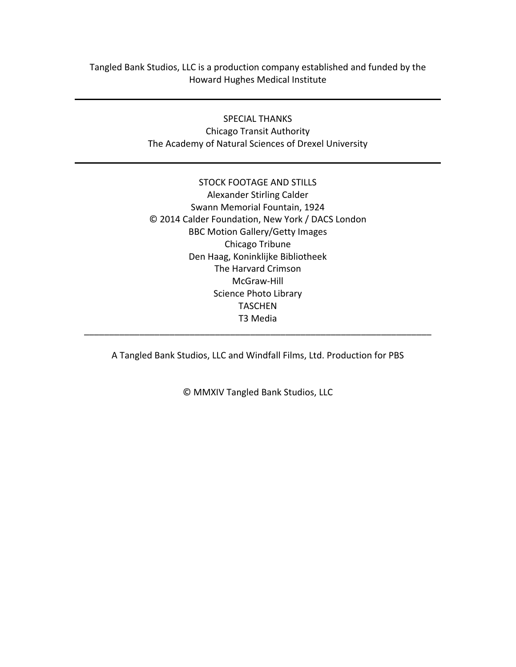Tangled Bank Studios, LLC is a production company established and funded by the Howard Hughes Medical Institute

### SPECIAL THANKS

Chicago Transit Authority The Academy of Natural Sciences of Drexel University

# STOCK FOOTAGE AND STILLS Alexander Stirling Calder Swann Memorial Fountain, 1924 © 2014 Calder Foundation, New York / DACS London BBC Motion Gallery/Getty Images Chicago Tribune Den Haag, Koninklijke Bibliotheek The Harvard Crimson McGraw-Hill Science Photo Library TASCHEN T3!Media \_\_\_\_\_\_\_\_\_\_\_\_\_\_\_\_\_\_\_\_\_\_\_\_\_\_\_\_\_\_\_\_\_\_\_\_\_\_\_\_\_\_\_\_\_\_\_\_\_\_\_\_\_\_\_\_\_\_\_\_\_\_\_\_\_\_\_\_\_

A Tangled Bank Studios, LLC and Windfall Films, Ltd. Production for PBS

© MMXIV Tangled Bank Studios, LLC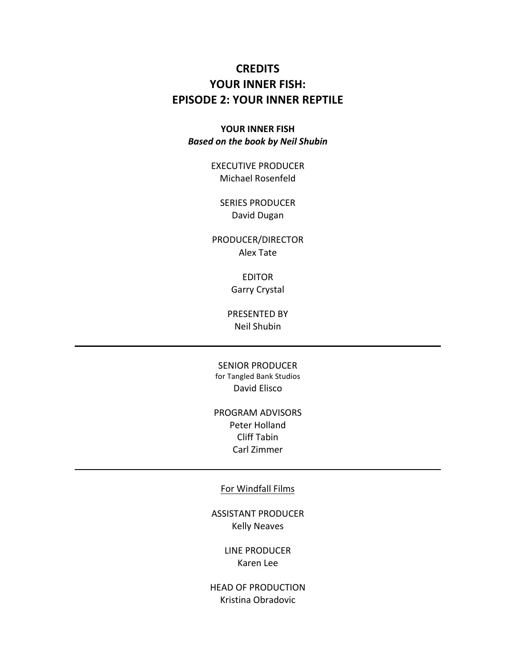# **CREDITS** YOUR INNER FISH: **EPISODE 2: YOUR INNER REPTILE**

## YOUR INNER FISH **Based on the book by Neil Shubin**

EXECUTIVE PRODUCER Michael Rosenfeld

**SERIES PRODUCER** David Dugan

PRODUCER/DIRECTOR Alex!Tate

> EDITOR Garry Crystal

PRESENTED BY Neil Shubin

SENIOR PRODUCER for Tangled Bank Studios David Elisco

# PROGRAM ADVISORS Peter Holland Cliff Tabin Carl Zimmer

#### For Windfall Films

ASSISTANT!PRODUCER **Kelly Neaves** 

> LINE PRODUCER Karen Lee

HEAD OF PRODUCTION Kristina!Obradovic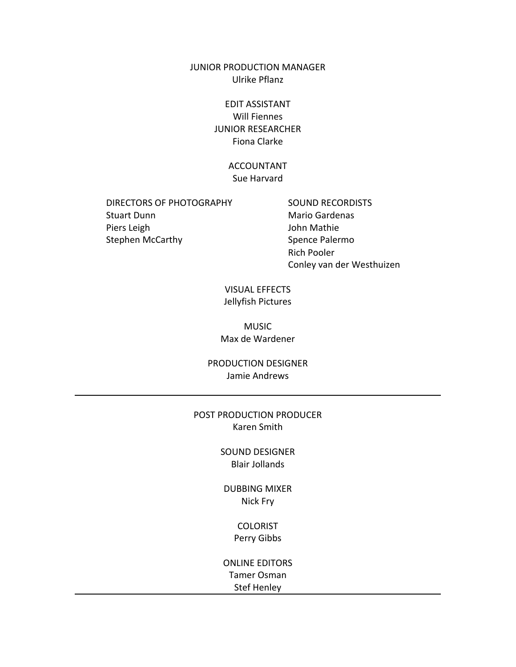JUNIOR PRODUCTION MANAGER Ulrike Pflanz

> EDIT!ASSISTANT Will Fiennes **JUNIOR RESEARCHER** Fiona Clarke

> > ACCOUNTANT Sue Harvard

DIRECTORS OF PHOTOGRAPHY SOUND RECORDISTS Stuart Dunn Mario Gardenas Piers Leigh **View Accounts** and Dohn Mathie Stephen McCarthy Spence Palermo

**Rich Pooler** Conley van der Westhuizen

VISUAL!EFFECTS Jellyfish Pictures

**MUSIC** Max de Wardener

PRODUCTION DESIGNER Jamie Andrews

POST PRODUCTION PRODUCER Karen Smith

> SOUND DESIGNER Blair Jollands

DUBBING MIXER Nick Fry

> COLORIST Perry Gibbs

ONLINE EDITORS Tamer Osman Stef Henley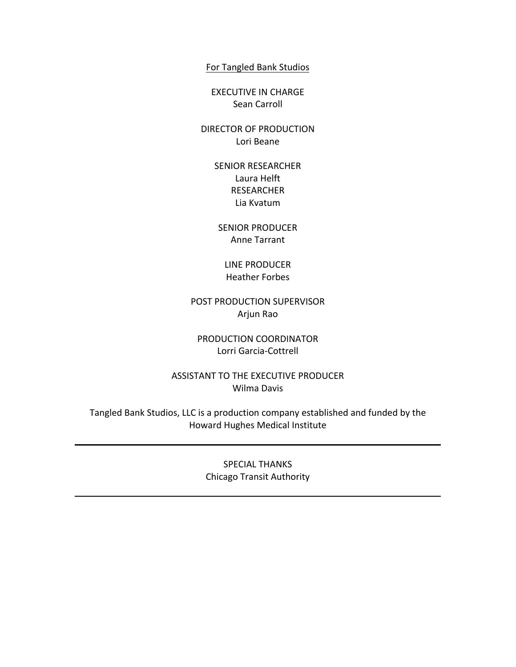For Tangled Bank Studios

EXECUTIVE IN CHARGE Sean Carroll

DIRECTOR OF PRODUCTION Lori Beane

> SENIOR RESEARCHER Laura Helft RESEARCHER Lia Kvatum

SENIOR PRODUCER Anne Tarrant

LINE PRODUCER Heather Forbes

POST PRODUCTION SUPERVISOR Arjun!Rao

PRODUCTION COORDINATOR Lorri Garcia-Cottrell

ASSISTANT TO THE EXECUTIVE PRODUCER Wilma Davis

Tangled Bank Studios, LLC is a production company established and funded by the Howard Hughes Medical Institute

> SPECIAL THANKS Chicago Transit Authority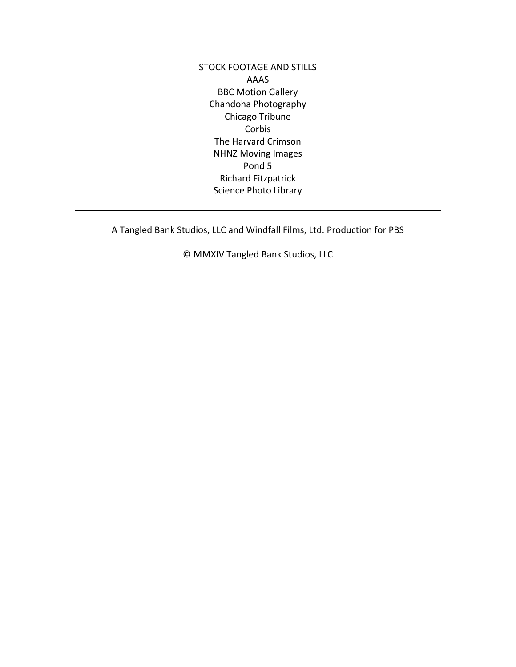STOCK FOOTAGE AND STILLS AAAS **BBC Motion Gallery** Chandoha Photography Chicago Tribune Corbis The Harvard Crimson **NHNZ Moving Images** Pond 5 Richard Fitzpatrick Science Photo Library

A Tangled Bank Studios, LLC and Windfall Films, Ltd. Production for PBS

© MMXIV Tangled Bank Studios, LLC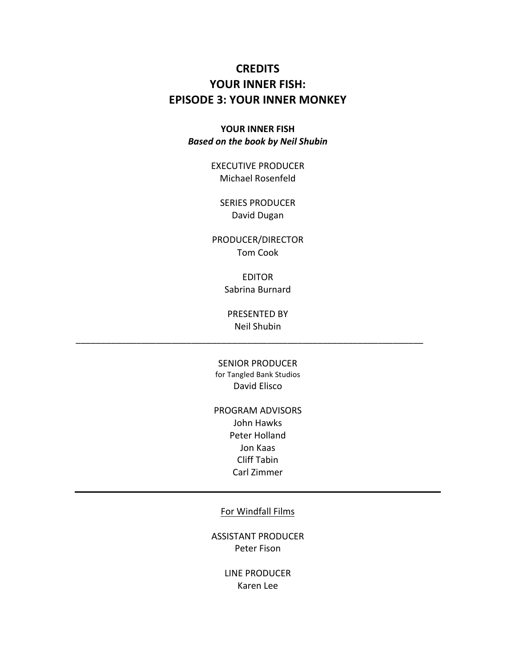# **CREDITS** YOUR INNER FISH: **EPISODE 3: YOUR INNER MONKEY**

## YOUR INNER FISH **Based on the book by Neil Shubin**

EXECUTIVE PRODUCER Michael Rosenfeld

**SERIES PRODUCER** David Dugan

PRODUCER/DIRECTOR Tom!Cook

> EDITOR Sabrina Burnard

PRESENTED BY Neil Shubin

\_\_\_\_\_\_\_\_\_\_\_\_\_\_\_\_\_\_\_\_\_\_\_\_\_\_\_\_\_\_\_\_\_\_\_\_\_\_\_\_\_\_\_\_\_\_\_\_\_\_\_\_\_\_\_\_\_\_\_\_\_\_\_\_\_\_\_\_\_

SENIOR PRODUCER for Tangled Bank Studios David!Elisco

PROGRAM ADVISORS

John Hawks Peter Holland Jon Kaas Cliff Tabin Carl Zimmer

For Windfall Films

ASSISTANT!PRODUCER Peter Fison

> LINE PRODUCER Karen Lee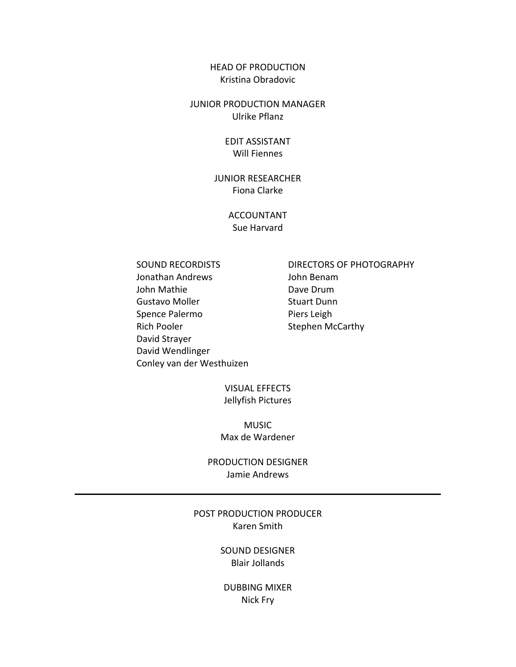### HEAD OF PRODUCTION Kristina!Obradovic

### JUNIOR PRODUCTION MANAGER Ulrike Pflanz

## EDIT!ASSISTANT Will Fiennes

## **JUNIOR RESEARCHER** Fiona Clarke

## ACCOUNTANT Sue Harvard

Jonathan!Andrews! John!Benam John!Mathie! Dave!Drum Gustavo Moller **Stuart Dunn** Spence Palermo Piers Leigh Rich Pooler Stephen McCarthy David Strayer David!Wendlinger Conley van der Westhuizen

SOUND RECORDISTS DIRECTORS OF PHOTOGRAPHY

## VISUAL!EFFECTS Jellyfish Pictures

MUSIC Max!de!Wardener

PRODUCTION DESIGNER Jamie Andrews

## POST PRODUCTION PRODUCER Karen Smith

SOUND DESIGNER Blair Jollands

DUBBING MIXER Nick Fry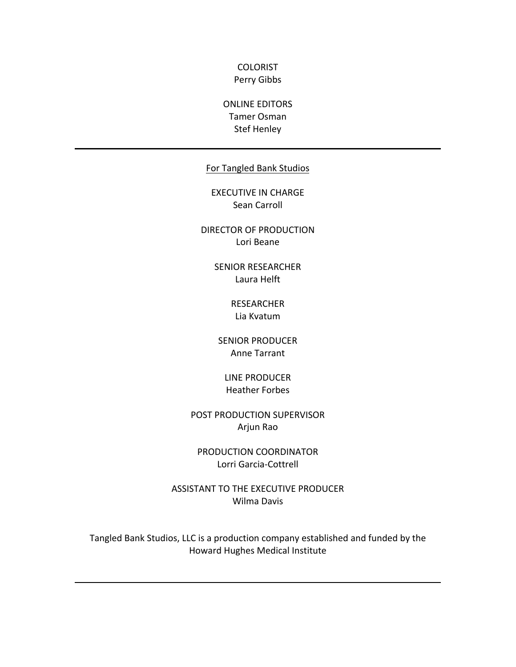### **COLORIST** Perry Gibbs

# ONLINE EDITORS Tamer!Osman Stef Henley

## For Tangled Bank Studios

EXECUTIVE IN CHARGE Sean Carroll

DIRECTOR OF PRODUCTION Lori Beane

> SENIOR RESEARCHER Laura Helft

> > RESEARCHER Lia Kvatum

SENIOR PRODUCER Anne Tarrant

LINE PRODUCER Heather Forbes

POST PRODUCTION SUPERVISOR Arjun!Rao

PRODUCTION COORDINATOR Lorri Garcia-Cottrell

ASSISTANT TO THE EXECUTIVE PRODUCER Wilma Davis

Tangled Bank Studios, LLC is a production company established and funded by the Howard Hughes Medical Institute